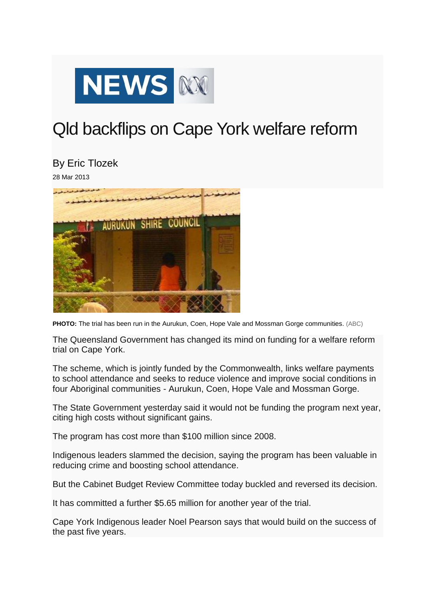

## Qld backflips on Cape York welfare reform

By Eric Tlozek

28 Mar 2013



**PHOTO:** The trial has been run in the Aurukun, Coen, Hope Vale and Mossman Gorge communities. (ABC)

The Queensland Government has changed its mind on funding for a welfare reform trial on Cape York.

The scheme, which is jointly funded by the Commonwealth, links welfare payments to school attendance and seeks to reduce violence and improve social conditions in four Aboriginal communities - Aurukun, Coen, Hope Vale and Mossman Gorge.

The State Government yesterday said it would not be funding the program next year, citing high costs without significant gains.

The program has cost more than \$100 million since 2008.

Indigenous leaders slammed the decision, saying the program has been valuable in reducing crime and boosting school attendance.

But the Cabinet Budget Review Committee today buckled and reversed its decision.

It has committed a further \$5.65 million for another year of the trial.

Cape York Indigenous leader Noel Pearson says that would build on the success of the past five years.